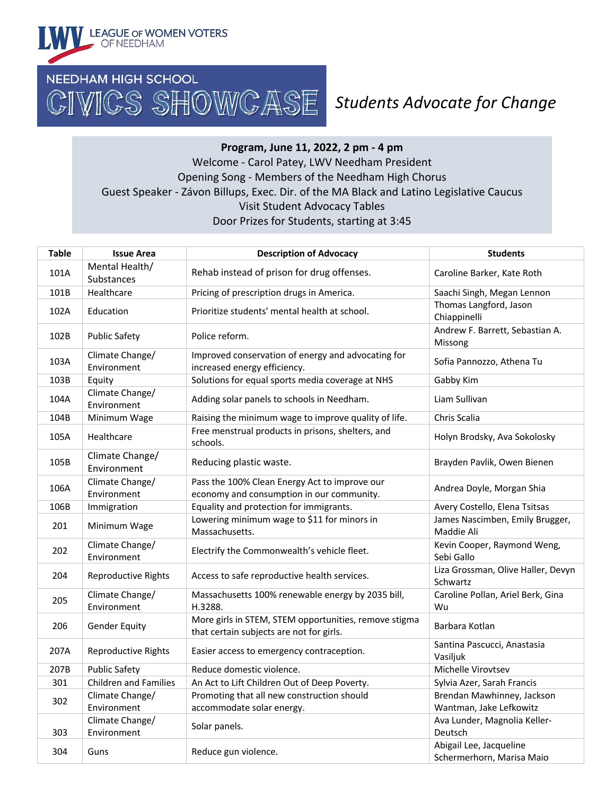

## *Students Advocate for Change*

## **Program, June 11, 2022, 2 pm - 4 pm** Welcome - Carol Patey, LWV Needham President Opening Song - Members of the Needham High Chorus Guest Speaker - Závon Billups, Exec. Dir. of the MA Black and Latino Legislative Caucus Visit Student Advocacy Tables Door Prizes for Students, starting at 3:45

| <b>Table</b> | <b>Issue Area</b>                   | <b>Description of Advocacy</b>                                                                    | <b>Students</b>                                       |
|--------------|-------------------------------------|---------------------------------------------------------------------------------------------------|-------------------------------------------------------|
| 101A         | Mental Health/<br><b>Substances</b> | Rehab instead of prison for drug offenses.                                                        | Caroline Barker, Kate Roth                            |
| 101B         | Healthcare                          | Pricing of prescription drugs in America.                                                         | Saachi Singh, Megan Lennon                            |
| 102A         | Education                           | Prioritize students' mental health at school.                                                     | Thomas Langford, Jason<br>Chiappinelli                |
| 102B         | <b>Public Safety</b>                | Police reform.                                                                                    | Andrew F. Barrett, Sebastian A.<br>Missong            |
| 103A         | Climate Change/<br>Environment      | Improved conservation of energy and advocating for<br>increased energy efficiency.                | Sofia Pannozzo, Athena Tu                             |
| 103B         | Equity                              | Solutions for equal sports media coverage at NHS                                                  | Gabby Kim                                             |
| 104A         | Climate Change/<br>Environment      | Adding solar panels to schools in Needham.                                                        | Liam Sullivan                                         |
| 104B         | Minimum Wage                        | Raising the minimum wage to improve quality of life.                                              | Chris Scalia                                          |
| 105A         | Healthcare                          | Free menstrual products in prisons, shelters, and<br>schools.                                     | Holyn Brodsky, Ava Sokolosky                          |
| 105B         | Climate Change/<br>Environment      | Reducing plastic waste.                                                                           | Brayden Pavlik, Owen Bienen                           |
| 106A         | Climate Change/<br>Environment      | Pass the 100% Clean Energy Act to improve our<br>economy and consumption in our community.        | Andrea Doyle, Morgan Shia                             |
| 106B         | Immigration                         | Equality and protection for immigrants.                                                           | Avery Costello, Elena Tsitsas                         |
| 201          | Minimum Wage                        | Lowering minimum wage to \$11 for minors in<br>Massachusetts.                                     | James Nascimben, Emily Brugger,<br>Maddie Ali         |
| 202          | Climate Change/<br>Environment      | Electrify the Commonwealth's vehicle fleet.                                                       | Kevin Cooper, Raymond Weng,<br>Sebi Gallo             |
| 204          | <b>Reproductive Rights</b>          | Access to safe reproductive health services.                                                      | Liza Grossman, Olive Haller, Devyn<br>Schwartz        |
| 205          | Climate Change/<br>Environment      | Massachusetts 100% renewable energy by 2035 bill,<br>H.3288.                                      | Caroline Pollan, Ariel Berk, Gina<br>Wu               |
| 206          | <b>Gender Equity</b>                | More girls in STEM, STEM opportunities, remove stigma<br>that certain subjects are not for girls. | Barbara Kotlan                                        |
| 207A         | <b>Reproductive Rights</b>          | Easier access to emergency contraception.                                                         | Santina Pascucci, Anastasia<br>Vasiljuk               |
| 207B         | <b>Public Safety</b>                | Reduce domestic violence.                                                                         | Michelle Virovtsev                                    |
| 301          | <b>Children and Families</b>        | An Act to Lift Children Out of Deep Poverty.                                                      | Sylvia Azer, Sarah Francis                            |
| 302          | Climate Change/<br>Environment      | Promoting that all new construction should<br>accommodate solar energy.                           | Brendan Mawhinney, Jackson<br>Wantman, Jake Lefkowitz |
| 303          | Climate Change/<br>Environment      | Solar panels.                                                                                     | Ava Lunder, Magnolia Keller-<br>Deutsch               |
| 304          | Guns                                | Reduce gun violence.                                                                              | Abigail Lee, Jacqueline<br>Schermerhorn, Marisa Maio  |